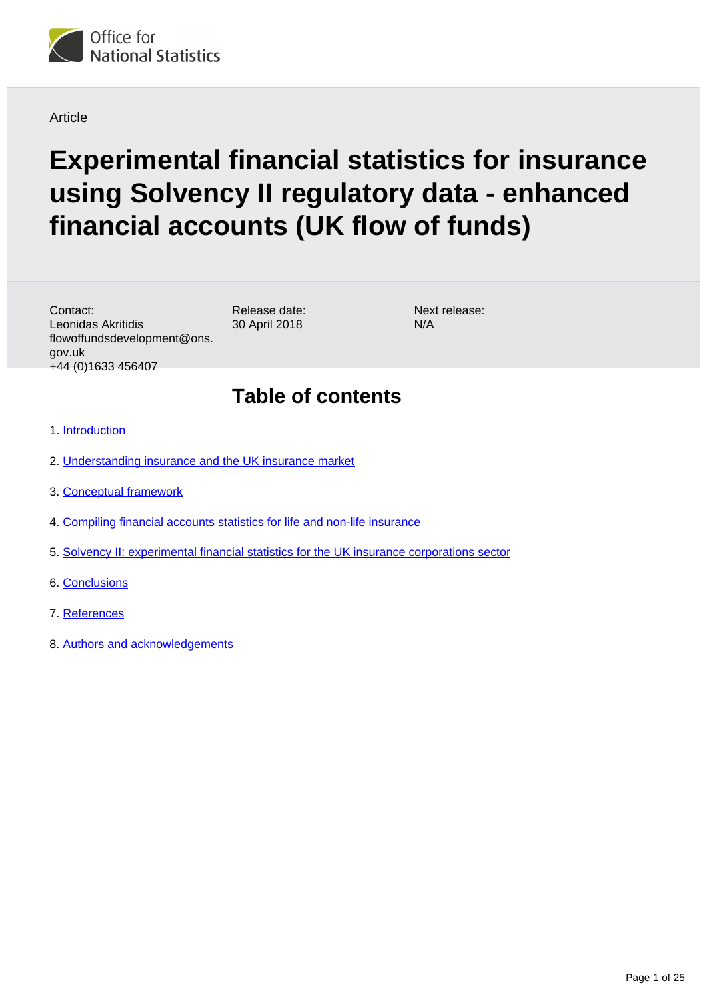

Article

# **Experimental financial statistics for insurance using Solvency II regulatory data - enhanced financial accounts (UK flow of funds)**

Contact: Leonidas Akritidis flowoffundsdevelopment@ons. gov.uk +44 (0)1633 456407

Release date: 30 April 2018

Next release: N/A

## **Table of contents**

- 1. [Introduction](#page-1-0)
- 2. [Understanding insurance and the UK insurance market](#page-2-0)
- 3. [Conceptual framework](#page-3-0)
- 4. [Compiling financial accounts statistics for life and non-life insurance](#page-6-0)
- 5. [Solvency II: experimental financial statistics for the UK insurance corporations sector](#page-10-0)
- 6. [Conclusions](#page-22-0)
- 7. [References](#page-23-0)
- 8. [Authors and acknowledgements](#page-24-0)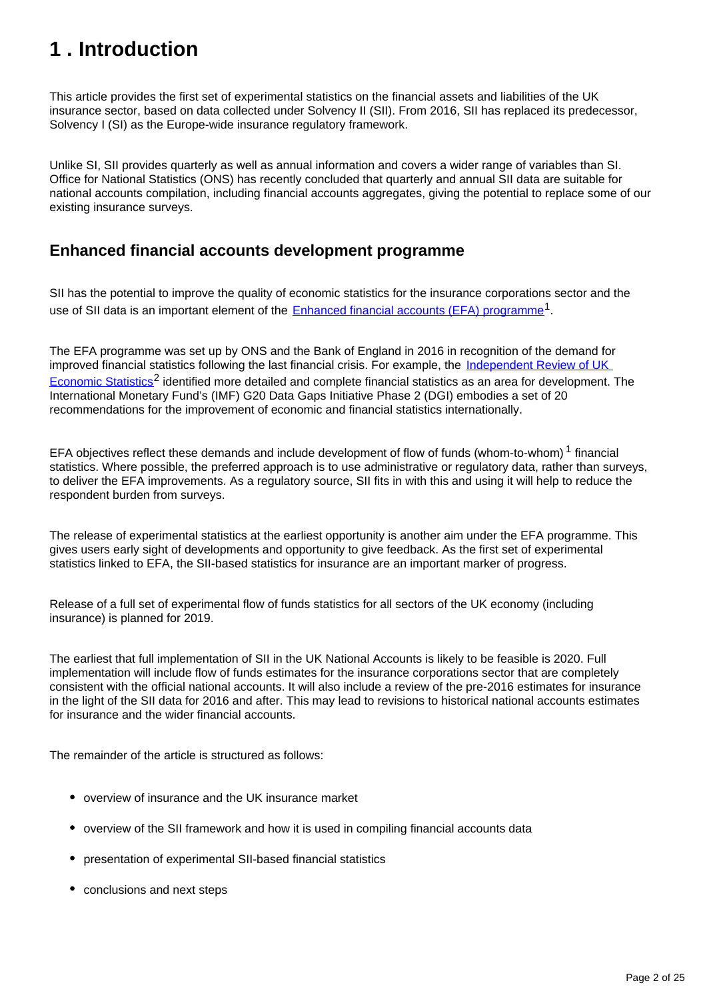## <span id="page-1-0"></span>**1 . Introduction**

This article provides the first set of experimental statistics on the financial assets and liabilities of the UK insurance sector, based on data collected under Solvency II (SII). From 2016, SII has replaced its predecessor, Solvency I (SI) as the Europe-wide insurance regulatory framework.

Unlike SI, SII provides quarterly as well as annual information and covers a wider range of variables than SI. Office for National Statistics (ONS) has recently concluded that quarterly and annual SII data are suitable for national accounts compilation, including financial accounts aggregates, giving the potential to replace some of our existing insurance surveys.

### **Enhanced financial accounts development programme**

SII has the potential to improve the quality of economic statistics for the insurance corporations sector and the use of SII data is an important element of the [Enhanced financial accounts \(EFA\) programme](https://www.ons.gov.uk/releases/theukflowoffundsprojectintroducingtheenhancedfinancialaccounts)<sup>1</sup>.

The EFA programme was set up by ONS and the Bank of England in 2016 in recognition of the demand for improved financial statistics following the last financial crisis. For example, the [Independent Review of UK](https://www.gov.uk/government/publications/independent-review-of-uk-economic-statistics-final-report)  [Economic Statistics](https://www.gov.uk/government/publications/independent-review-of-uk-economic-statistics-final-report)<sup>2</sup> identified more detailed and complete financial statistics as an area for development. The International Monetary Fund's (IMF) G20 Data Gaps Initiative Phase 2 (DGI) embodies a set of 20 recommendations for the improvement of economic and financial statistics internationally.

EFA objectives reflect these demands and include development of flow of funds (whom-to-whom)<sup>1</sup> financial statistics. Where possible, the preferred approach is to use administrative or regulatory data, rather than surveys, to deliver the EFA improvements. As a regulatory source, SII fits in with this and using it will help to reduce the respondent burden from surveys.

The release of experimental statistics at the earliest opportunity is another aim under the EFA programme. This gives users early sight of developments and opportunity to give feedback. As the first set of experimental statistics linked to EFA, the SII-based statistics for insurance are an important marker of progress.

Release of a full set of experimental flow of funds statistics for all sectors of the UK economy (including insurance) is planned for 2019.

The earliest that full implementation of SII in the UK National Accounts is likely to be feasible is 2020. Full implementation will include flow of funds estimates for the insurance corporations sector that are completely consistent with the official national accounts. It will also include a review of the pre-2016 estimates for insurance in the light of the SII data for 2016 and after. This may lead to revisions to historical national accounts estimates for insurance and the wider financial accounts.

The remainder of the article is structured as follows:

- overview of insurance and the UK insurance market
- overview of the SII framework and how it is used in compiling financial accounts data
- presentation of experimental SII-based financial statistics
- conclusions and next steps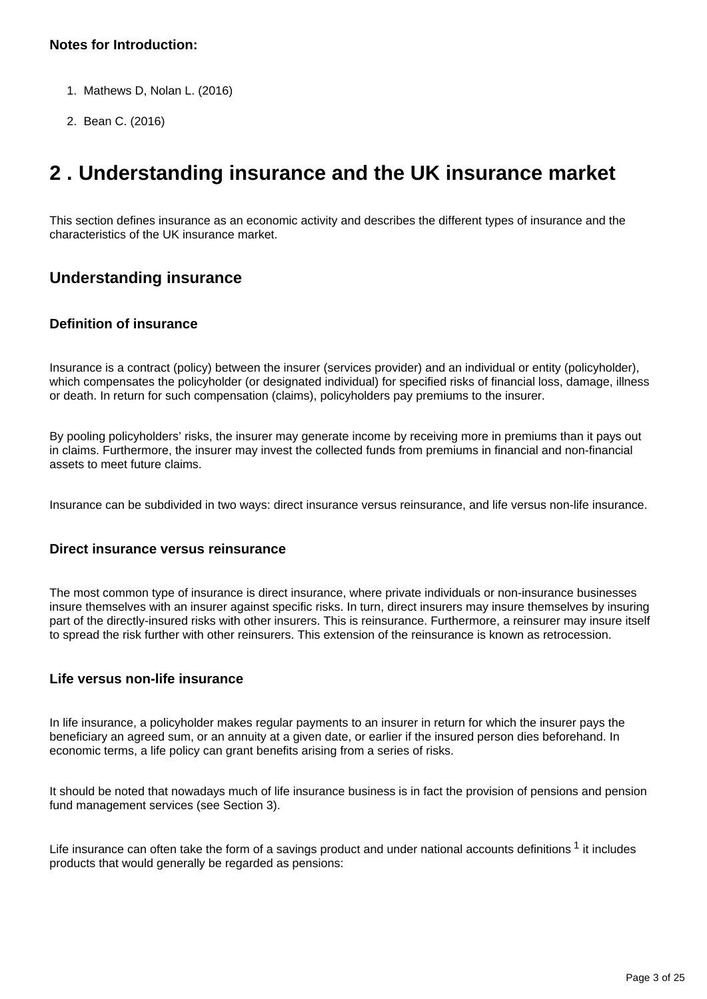#### **Notes for Introduction:**

- 1. Mathews D, Nolan L. (2016)
- 2. Bean C. (2016)

## <span id="page-2-0"></span>**2 . Understanding insurance and the UK insurance market**

This section defines insurance as an economic activity and describes the different types of insurance and the characteristics of the UK insurance market.

### **Understanding insurance**

#### **Definition of insurance**

Insurance is a contract (policy) between the insurer (services provider) and an individual or entity (policyholder), which compensates the policyholder (or designated individual) for specified risks of financial loss, damage, illness or death. In return for such compensation (claims), policyholders pay premiums to the insurer.

By pooling policyholders' risks, the insurer may generate income by receiving more in premiums than it pays out in claims. Furthermore, the insurer may invest the collected funds from premiums in financial and non-financial assets to meet future claims.

Insurance can be subdivided in two ways: direct insurance versus reinsurance, and life versus non-life insurance.

#### **Direct insurance versus reinsurance**

The most common type of insurance is direct insurance, where private individuals or non-insurance businesses insure themselves with an insurer against specific risks. In turn, direct insurers may insure themselves by insuring part of the directly-insured risks with other insurers. This is reinsurance. Furthermore, a reinsurer may insure itself to spread the risk further with other reinsurers. This extension of the reinsurance is known as retrocession.

#### **Life versus non-life insurance**

In life insurance, a policyholder makes regular payments to an insurer in return for which the insurer pays the beneficiary an agreed sum, or an annuity at a given date, or earlier if the insured person dies beforehand. In economic terms, a life policy can grant benefits arising from a series of risks.

It should be noted that nowadays much of life insurance business is in fact the provision of pensions and pension fund management services (see Section 3).

Life insurance can often take the form of a savings product and under national accounts definitions  $1$  it includes products that would generally be regarded as pensions: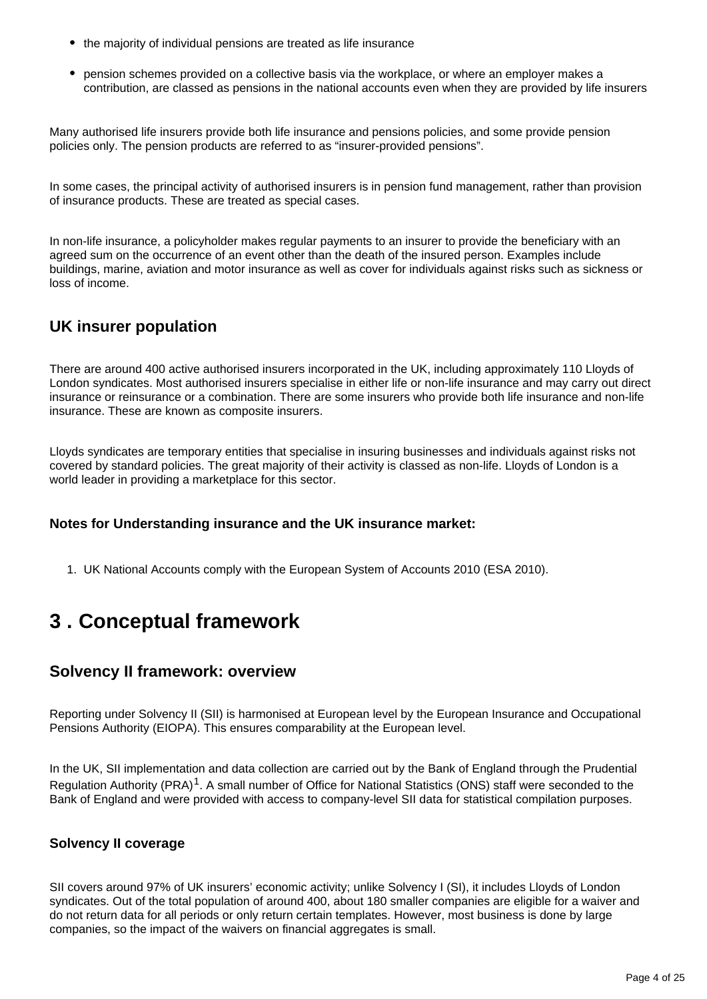- the majority of individual pensions are treated as life insurance
- pension schemes provided on a collective basis via the workplace, or where an employer makes a contribution, are classed as pensions in the national accounts even when they are provided by life insurers

Many authorised life insurers provide both life insurance and pensions policies, and some provide pension policies only. The pension products are referred to as "insurer-provided pensions".

In some cases, the principal activity of authorised insurers is in pension fund management, rather than provision of insurance products. These are treated as special cases.

In non-life insurance, a policyholder makes regular payments to an insurer to provide the beneficiary with an agreed sum on the occurrence of an event other than the death of the insured person. Examples include buildings, marine, aviation and motor insurance as well as cover for individuals against risks such as sickness or loss of income.

### **UK insurer population**

There are around 400 active authorised insurers incorporated in the UK, including approximately 110 Lloyds of London syndicates. Most authorised insurers specialise in either life or non-life insurance and may carry out direct insurance or reinsurance or a combination. There are some insurers who provide both life insurance and non-life insurance. These are known as composite insurers.

Lloyds syndicates are temporary entities that specialise in insuring businesses and individuals against risks not covered by standard policies. The great majority of their activity is classed as non-life. Lloyds of London is a world leader in providing a marketplace for this sector.

#### **Notes for Understanding insurance and the UK insurance market:**

1. UK National Accounts comply with the European System of Accounts 2010 (ESA 2010).

## <span id="page-3-0"></span>**3 . Conceptual framework**

#### **Solvency II framework: overview**

Reporting under Solvency II (SII) is harmonised at European level by the European Insurance and Occupational Pensions Authority (EIOPA). This ensures comparability at the European level.

In the UK, SII implementation and data collection are carried out by the Bank of England through the Prudential Regulation Authority (PRA)<sup>1</sup>. A small number of Office for National Statistics (ONS) staff were seconded to the Bank of England and were provided with access to company-level SII data for statistical compilation purposes.

#### **Solvency II coverage**

SII covers around 97% of UK insurers' economic activity; unlike Solvency I (SI), it includes Lloyds of London syndicates. Out of the total population of around 400, about 180 smaller companies are eligible for a waiver and do not return data for all periods or only return certain templates. However, most business is done by large companies, so the impact of the waivers on financial aggregates is small.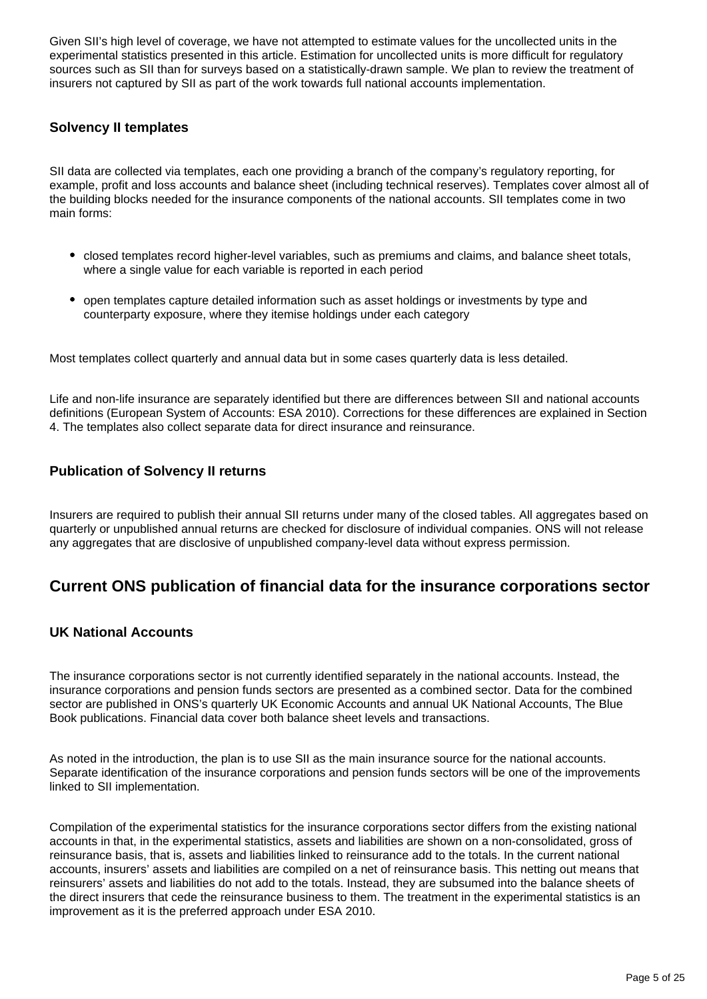Given SII's high level of coverage, we have not attempted to estimate values for the uncollected units in the experimental statistics presented in this article. Estimation for uncollected units is more difficult for regulatory sources such as SII than for surveys based on a statistically-drawn sample. We plan to review the treatment of insurers not captured by SII as part of the work towards full national accounts implementation.

#### **Solvency II templates**

SII data are collected via templates, each one providing a branch of the company's regulatory reporting, for example, profit and loss accounts and balance sheet (including technical reserves). Templates cover almost all of the building blocks needed for the insurance components of the national accounts. SII templates come in two main forms:

- closed templates record higher-level variables, such as premiums and claims, and balance sheet totals, where a single value for each variable is reported in each period
- open templates capture detailed information such as asset holdings or investments by type and counterparty exposure, where they itemise holdings under each category

Most templates collect quarterly and annual data but in some cases quarterly data is less detailed.

Life and non-life insurance are separately identified but there are differences between SII and national accounts definitions (European System of Accounts: ESA 2010). Corrections for these differences are explained in Section 4. The templates also collect separate data for direct insurance and reinsurance.

#### **Publication of Solvency II returns**

Insurers are required to publish their annual SII returns under many of the closed tables. All aggregates based on quarterly or unpublished annual returns are checked for disclosure of individual companies. ONS will not release any aggregates that are disclosive of unpublished company-level data without express permission.

### **Current ONS publication of financial data for the insurance corporations sector**

#### **UK National Accounts**

The insurance corporations sector is not currently identified separately in the national accounts. Instead, the insurance corporations and pension funds sectors are presented as a combined sector. Data for the combined sector are published in ONS's quarterly UK Economic Accounts and annual UK National Accounts, The Blue Book publications. Financial data cover both balance sheet levels and transactions.

As noted in the introduction, the plan is to use SII as the main insurance source for the national accounts. Separate identification of the insurance corporations and pension funds sectors will be one of the improvements linked to SII implementation.

Compilation of the experimental statistics for the insurance corporations sector differs from the existing national accounts in that, in the experimental statistics, assets and liabilities are shown on a non-consolidated, gross of reinsurance basis, that is, assets and liabilities linked to reinsurance add to the totals. In the current national accounts, insurers' assets and liabilities are compiled on a net of reinsurance basis. This netting out means that reinsurers' assets and liabilities do not add to the totals. Instead, they are subsumed into the balance sheets of the direct insurers that cede the reinsurance business to them. The treatment in the experimental statistics is an improvement as it is the preferred approach under ESA 2010.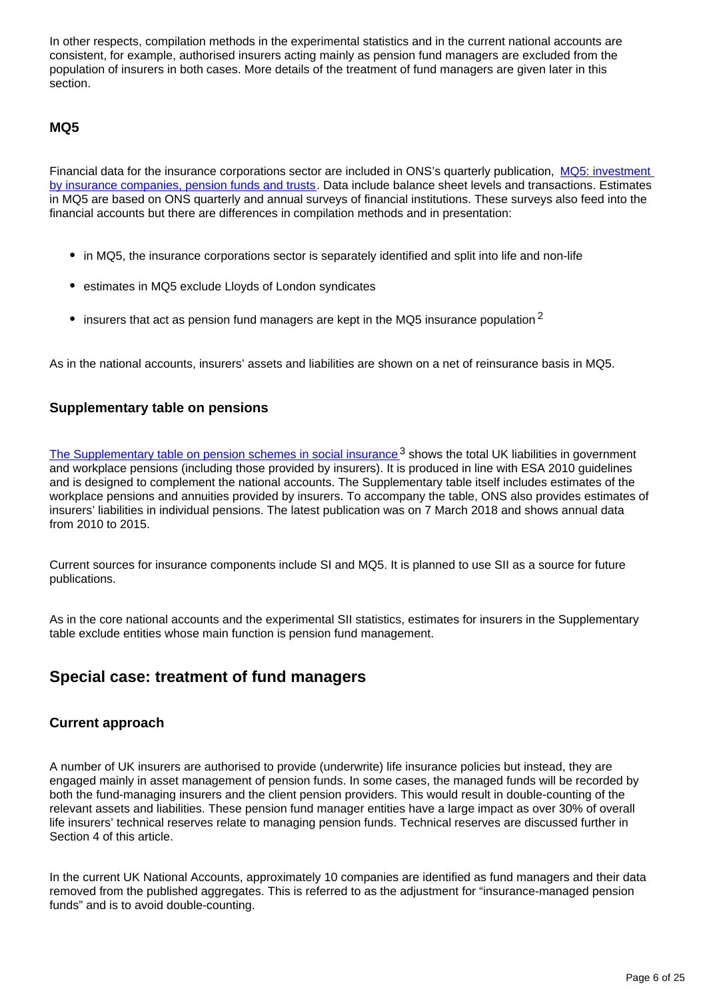In other respects, compilation methods in the experimental statistics and in the current national accounts are consistent, for example, authorised insurers acting mainly as pension fund managers are excluded from the population of insurers in both cases. More details of the treatment of fund managers are given later in this section.

#### **MQ5**

Financial data for the insurance corporations sector are included in ONS's quarterly publication, MQ5: investment [by insurance companies, pension funds and trusts.](https://www.ons.gov.uk/economy/investmentspensionsandtrusts/bulletins/mq5investmentbyinsurancecompaniespensionfundsandtrusts/octobertodecember2017) Data include balance sheet levels and transactions. Estimates in MQ5 are based on ONS quarterly and annual surveys of financial institutions. These surveys also feed into the financial accounts but there are differences in compilation methods and in presentation:

- in MQ5, the insurance corporations sector is separately identified and split into life and non-life
- estimates in MQ5 exclude Lloyds of London syndicates
- $\bullet$  insurers that act as pension fund managers are kept in the MQ5 insurance population  $^2$

As in the national accounts, insurers' assets and liabilities are shown on a net of reinsurance basis in MQ5.

#### **Supplementary table on pensions**

[The Supplementary table on pension schemes in social insurance](https://www.ons.gov.uk/economy/nationalaccounts/uksectoraccounts/datasets/uknationalaccountstable29accruedtodatepensionentitlementsinsocialinsurance)<sup>3</sup> shows the total UK liabilities in government and workplace pensions (including those provided by insurers). It is produced in line with ESA 2010 guidelines and is designed to complement the national accounts. The Supplementary table itself includes estimates of the workplace pensions and annuities provided by insurers. To accompany the table, ONS also provides estimates of insurers' liabilities in individual pensions. The latest publication was on 7 March 2018 and shows annual data from 2010 to 2015.

Current sources for insurance components include SI and MQ5. It is planned to use SII as a source for future publications.

As in the core national accounts and the experimental SII statistics, estimates for insurers in the Supplementary table exclude entities whose main function is pension fund management.

### **Special case: treatment of fund managers**

#### **Current approach**

A number of UK insurers are authorised to provide (underwrite) life insurance policies but instead, they are engaged mainly in asset management of pension funds. In some cases, the managed funds will be recorded by both the fund-managing insurers and the client pension providers. This would result in double-counting of the relevant assets and liabilities. These pension fund manager entities have a large impact as over 30% of overall life insurers' technical reserves relate to managing pension funds. Technical reserves are discussed further in Section 4 of this article.

In the current UK National Accounts, approximately 10 companies are identified as fund managers and their data removed from the published aggregates. This is referred to as the adjustment for "insurance-managed pension" funds" and is to avoid double-counting.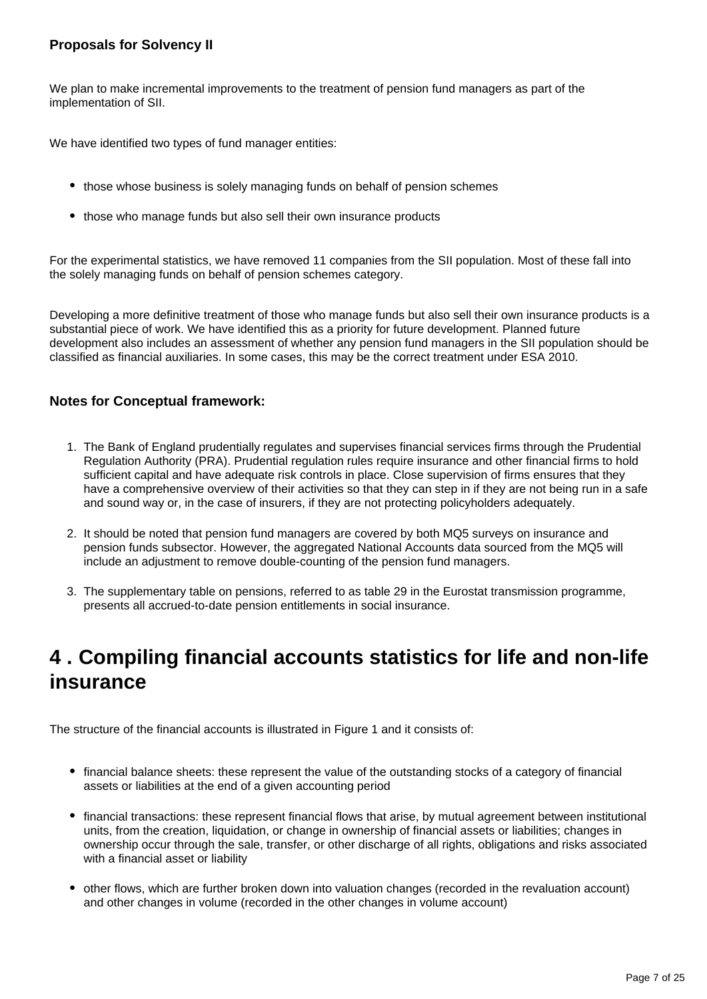We plan to make incremental improvements to the treatment of pension fund managers as part of the implementation of SII.

We have identified two types of fund manager entities:

- those whose business is solely managing funds on behalf of pension schemes
- those who manage funds but also sell their own insurance products

For the experimental statistics, we have removed 11 companies from the SII population. Most of these fall into the solely managing funds on behalf of pension schemes category.

Developing a more definitive treatment of those who manage funds but also sell their own insurance products is a substantial piece of work. We have identified this as a priority for future development. Planned future development also includes an assessment of whether any pension fund managers in the SII population should be classified as financial auxiliaries. In some cases, this may be the correct treatment under ESA 2010.

#### **Notes for Conceptual framework:**

- 1. The Bank of England prudentially regulates and supervises financial services firms through the Prudential Regulation Authority (PRA). Prudential regulation rules require insurance and other financial firms to hold sufficient capital and have adequate risk controls in place. Close supervision of firms ensures that they have a comprehensive overview of their activities so that they can step in if they are not being run in a safe and sound way or, in the case of insurers, if they are not protecting policyholders adequately.
- 2. It should be noted that pension fund managers are covered by both MQ5 surveys on insurance and pension funds subsector. However, the aggregated National Accounts data sourced from the MQ5 will include an adjustment to remove double-counting of the pension fund managers.
- 3. The supplementary table on pensions, referred to as table 29 in the Eurostat transmission programme, presents all accrued-to-date pension entitlements in social insurance.

## <span id="page-6-0"></span>**4 . Compiling financial accounts statistics for life and non-life insurance**

The structure of the financial accounts is illustrated in Figure 1 and it consists of:

- financial balance sheets: these represent the value of the outstanding stocks of a category of financial assets or liabilities at the end of a given accounting period
- financial transactions: these represent financial flows that arise, by mutual agreement between institutional units, from the creation, liquidation, or change in ownership of financial assets or liabilities; changes in ownership occur through the sale, transfer, or other discharge of all rights, obligations and risks associated with a financial asset or liability
- other flows, which are further broken down into valuation changes (recorded in the revaluation account) and other changes in volume (recorded in the other changes in volume account)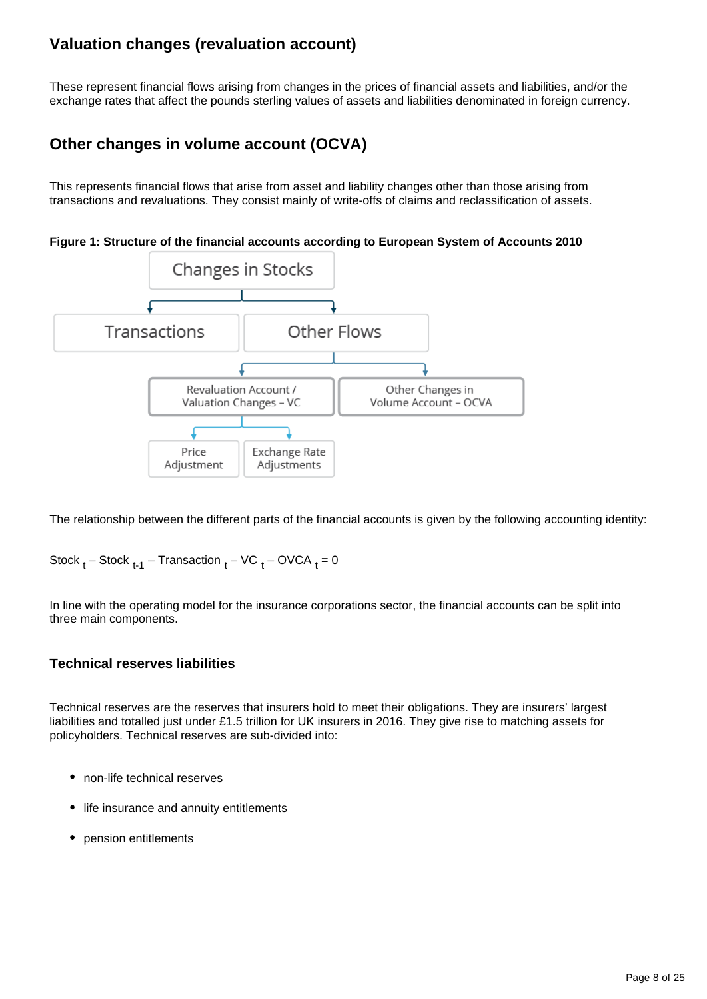### **Valuation changes (revaluation account)**

These represent financial flows arising from changes in the prices of financial assets and liabilities, and/or the exchange rates that affect the pounds sterling values of assets and liabilities denominated in foreign currency.

### **Other changes in volume account (OCVA)**

This represents financial flows that arise from asset and liability changes other than those arising from transactions and revaluations. They consist mainly of write-offs of claims and reclassification of assets.

**Figure 1: Structure of the financial accounts according to European System of Accounts 2010**



The relationship between the different parts of the financial accounts is given by the following accounting identity:

Stock  $_{t}$  – Stock  $_{t-1}$  – Transaction  $_{t}$  – VC  $_{t}$  – OVCA  $_{t}$  = 0

In line with the operating model for the insurance corporations sector, the financial accounts can be split into three main components.

#### **Technical reserves liabilities**

Technical reserves are the reserves that insurers hold to meet their obligations. They are insurers' largest liabilities and totalled just under £1.5 trillion for UK insurers in 2016. They give rise to matching assets for policyholders. Technical reserves are sub-divided into:

- non-life technical reserves
- life insurance and annuity entitlements
- pension entitlements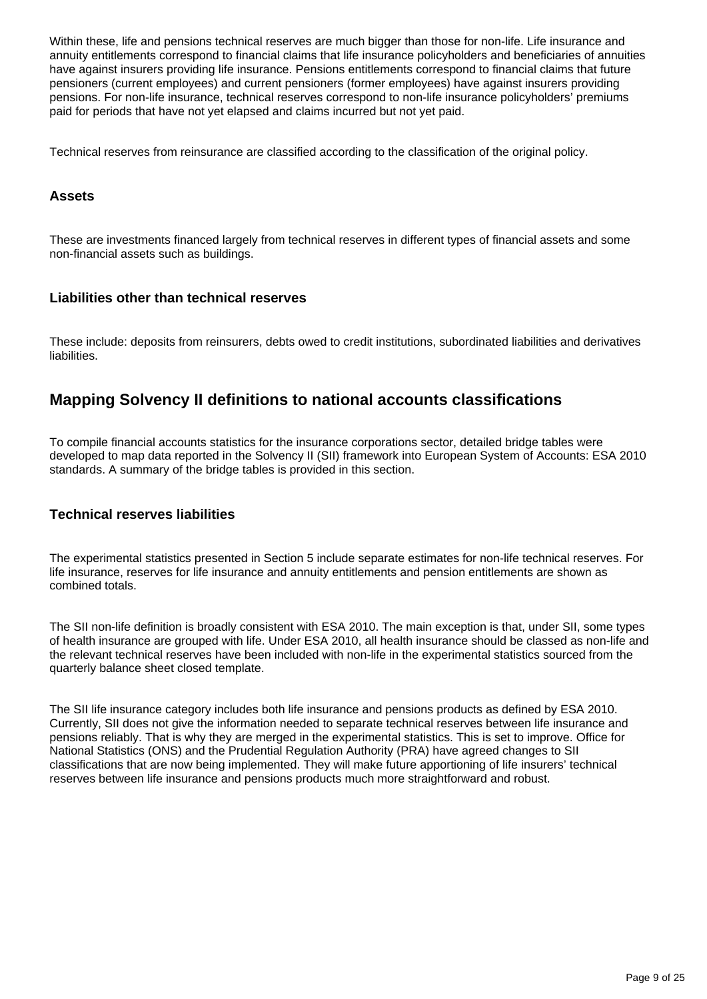Within these, life and pensions technical reserves are much bigger than those for non-life. Life insurance and annuity entitlements correspond to financial claims that life insurance policyholders and beneficiaries of annuities have against insurers providing life insurance. Pensions entitlements correspond to financial claims that future pensioners (current employees) and current pensioners (former employees) have against insurers providing pensions. For non-life insurance, technical reserves correspond to non-life insurance policyholders' premiums paid for periods that have not yet elapsed and claims incurred but not yet paid.

Technical reserves from reinsurance are classified according to the classification of the original policy.

#### **Assets**

These are investments financed largely from technical reserves in different types of financial assets and some non-financial assets such as buildings.

#### **Liabilities other than technical reserves**

These include: deposits from reinsurers, debts owed to credit institutions, subordinated liabilities and derivatives liabilities.

### **Mapping Solvency II definitions to national accounts classifications**

To compile financial accounts statistics for the insurance corporations sector, detailed bridge tables were developed to map data reported in the Solvency II (SII) framework into European System of Accounts: ESA 2010 standards. A summary of the bridge tables is provided in this section.

#### **Technical reserves liabilities**

The experimental statistics presented in Section 5 include separate estimates for non-life technical reserves. For life insurance, reserves for life insurance and annuity entitlements and pension entitlements are shown as combined totals.

The SII non-life definition is broadly consistent with ESA 2010. The main exception is that, under SII, some types of health insurance are grouped with life. Under ESA 2010, all health insurance should be classed as non-life and the relevant technical reserves have been included with non-life in the experimental statistics sourced from the quarterly balance sheet closed template.

The SII life insurance category includes both life insurance and pensions products as defined by ESA 2010. Currently, SII does not give the information needed to separate technical reserves between life insurance and pensions reliably. That is why they are merged in the experimental statistics. This is set to improve. Office for National Statistics (ONS) and the Prudential Regulation Authority (PRA) have agreed changes to SII classifications that are now being implemented. They will make future apportioning of life insurers' technical reserves between life insurance and pensions products much more straightforward and robust.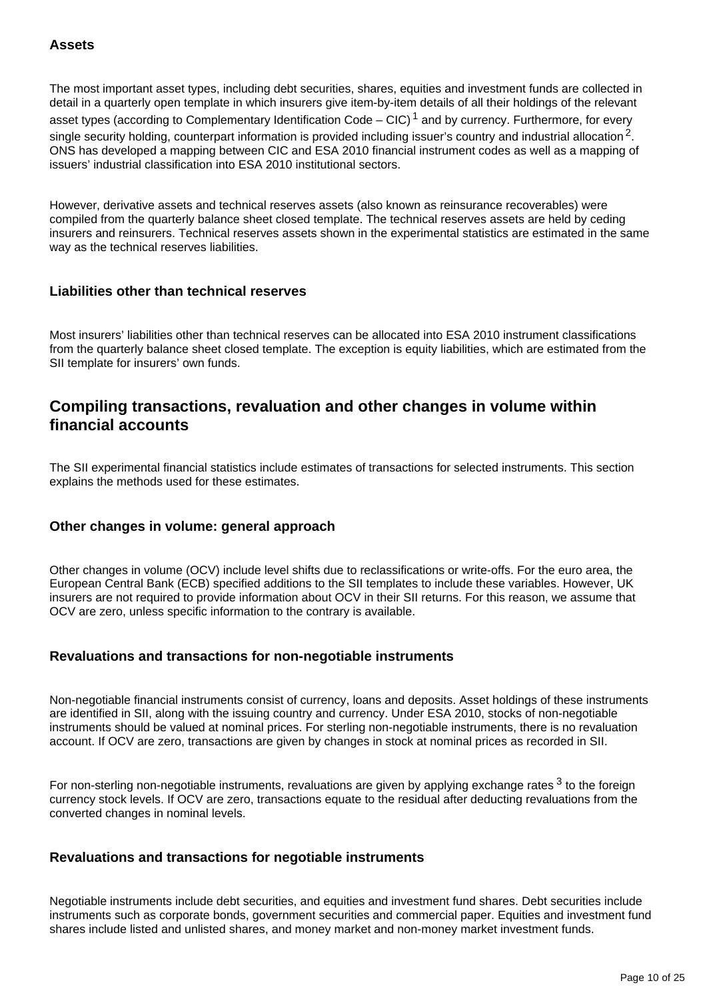#### **Assets**

The most important asset types, including debt securities, shares, equities and investment funds are collected in detail in a quarterly open template in which insurers give item-by-item details of all their holdings of the relevant asset types (according to Complementary Identification Code – CIC)<sup>1</sup> and by currency. Furthermore, for every single security holding, counterpart information is provided including issuer's country and industrial allocation<sup>2</sup>. ONS has developed a mapping between CIC and ESA 2010 financial instrument codes as well as a mapping of issuers' industrial classification into ESA 2010 institutional sectors.

However, derivative assets and technical reserves assets (also known as reinsurance recoverables) were compiled from the quarterly balance sheet closed template. The technical reserves assets are held by ceding insurers and reinsurers. Technical reserves assets shown in the experimental statistics are estimated in the same way as the technical reserves liabilities.

#### **Liabilities other than technical reserves**

Most insurers' liabilities other than technical reserves can be allocated into ESA 2010 instrument classifications from the quarterly balance sheet closed template. The exception is equity liabilities, which are estimated from the SII template for insurers' own funds.

### **Compiling transactions, revaluation and other changes in volume within financial accounts**

The SII experimental financial statistics include estimates of transactions for selected instruments. This section explains the methods used for these estimates.

#### **Other changes in volume: general approach**

Other changes in volume (OCV) include level shifts due to reclassifications or write-offs. For the euro area, the European Central Bank (ECB) specified additions to the SII templates to include these variables. However, UK insurers are not required to provide information about OCV in their SII returns. For this reason, we assume that OCV are zero, unless specific information to the contrary is available.

#### **Revaluations and transactions for non-negotiable instruments**

Non-negotiable financial instruments consist of currency, loans and deposits. Asset holdings of these instruments are identified in SII, along with the issuing country and currency. Under ESA 2010, stocks of non-negotiable instruments should be valued at nominal prices. For sterling non-negotiable instruments, there is no revaluation account. If OCV are zero, transactions are given by changes in stock at nominal prices as recorded in SII.

For non-sterling non-negotiable instruments, revaluations are given by applying exchange rates  $3$  to the foreign currency stock levels. If OCV are zero, transactions equate to the residual after deducting revaluations from the converted changes in nominal levels.

#### **Revaluations and transactions for negotiable instruments**

Negotiable instruments include debt securities, and equities and investment fund shares. Debt securities include instruments such as corporate bonds, government securities and commercial paper. Equities and investment fund shares include listed and unlisted shares, and money market and non-money market investment funds.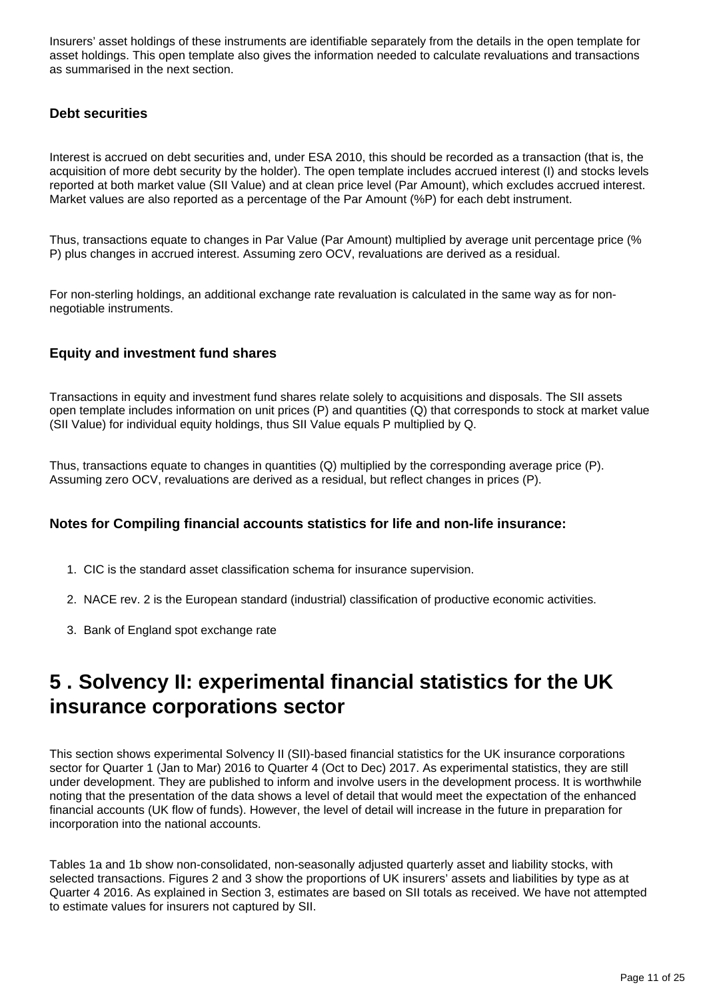Insurers' asset holdings of these instruments are identifiable separately from the details in the open template for asset holdings. This open template also gives the information needed to calculate revaluations and transactions as summarised in the next section.

#### **Debt securities**

Interest is accrued on debt securities and, under ESA 2010, this should be recorded as a transaction (that is, the acquisition of more debt security by the holder). The open template includes accrued interest (I) and stocks levels reported at both market value (SII Value) and at clean price level (Par Amount), which excludes accrued interest. Market values are also reported as a percentage of the Par Amount (%P) for each debt instrument.

Thus, transactions equate to changes in Par Value (Par Amount) multiplied by average unit percentage price (% P) plus changes in accrued interest. Assuming zero OCV, revaluations are derived as a residual.

For non-sterling holdings, an additional exchange rate revaluation is calculated in the same way as for nonnegotiable instruments.

#### **Equity and investment fund shares**

Transactions in equity and investment fund shares relate solely to acquisitions and disposals. The SII assets open template includes information on unit prices (P) and quantities (Q) that corresponds to stock at market value (SII Value) for individual equity holdings, thus SII Value equals P multiplied by Q.

Thus, transactions equate to changes in quantities (Q) multiplied by the corresponding average price (P). Assuming zero OCV, revaluations are derived as a residual, but reflect changes in prices (P).

#### **Notes for Compiling financial accounts statistics for life and non-life insurance:**

- 1. CIC is the standard asset classification schema for insurance supervision.
- 2. NACE rev. 2 is the European standard (industrial) classification of productive economic activities.
- 3. Bank of England spot exchange rate

## <span id="page-10-0"></span>**5 . Solvency II: experimental financial statistics for the UK insurance corporations sector**

This section shows experimental Solvency II (SII)-based financial statistics for the UK insurance corporations sector for Quarter 1 (Jan to Mar) 2016 to Quarter 4 (Oct to Dec) 2017. As experimental statistics, they are still under development. They are published to inform and involve users in the development process. It is worthwhile noting that the presentation of the data shows a level of detail that would meet the expectation of the enhanced financial accounts (UK flow of funds). However, the level of detail will increase in the future in preparation for incorporation into the national accounts.

Tables 1a and 1b show non-consolidated, non-seasonally adjusted quarterly asset and liability stocks, with selected transactions. Figures 2 and 3 show the proportions of UK insurers' assets and liabilities by type as at Quarter 4 2016. As explained in Section 3, estimates are based on SII totals as received. We have not attempted to estimate values for insurers not captured by SII.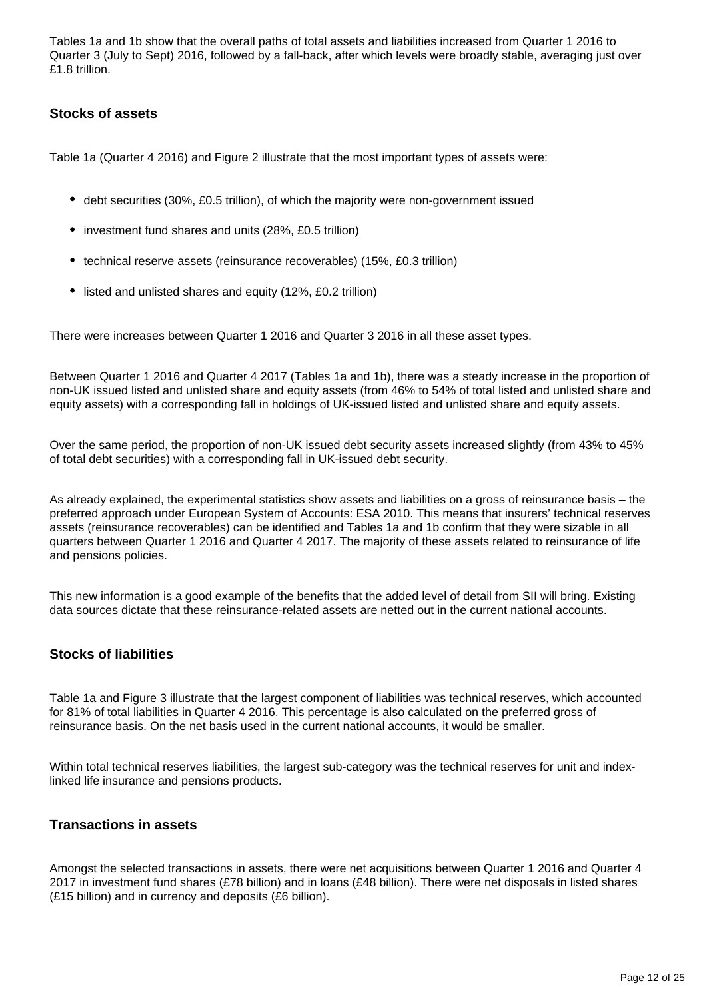Tables 1a and 1b show that the overall paths of total assets and liabilities increased from Quarter 1 2016 to Quarter 3 (July to Sept) 2016, followed by a fall-back, after which levels were broadly stable, averaging just over £1.8 trillion.

#### **Stocks of assets**

Table 1a (Quarter 4 2016) and Figure 2 illustrate that the most important types of assets were:

- debt securities (30%, £0.5 trillion), of which the majority were non-government issued
- investment fund shares and units (28%, £0.5 trillion)
- technical reserve assets (reinsurance recoverables) (15%, £0.3 trillion)
- listed and unlisted shares and equity (12%, £0.2 trillion)

There were increases between Quarter 1 2016 and Quarter 3 2016 in all these asset types.

Between Quarter 1 2016 and Quarter 4 2017 (Tables 1a and 1b), there was a steady increase in the proportion of non-UK issued listed and unlisted share and equity assets (from 46% to 54% of total listed and unlisted share and equity assets) with a corresponding fall in holdings of UK-issued listed and unlisted share and equity assets.

Over the same period, the proportion of non-UK issued debt security assets increased slightly (from 43% to 45% of total debt securities) with a corresponding fall in UK-issued debt security.

As already explained, the experimental statistics show assets and liabilities on a gross of reinsurance basis – the preferred approach under European System of Accounts: ESA 2010. This means that insurers' technical reserves assets (reinsurance recoverables) can be identified and Tables 1a and 1b confirm that they were sizable in all quarters between Quarter 1 2016 and Quarter 4 2017. The majority of these assets related to reinsurance of life and pensions policies.

This new information is a good example of the benefits that the added level of detail from SII will bring. Existing data sources dictate that these reinsurance-related assets are netted out in the current national accounts.

#### **Stocks of liabilities**

Table 1a and Figure 3 illustrate that the largest component of liabilities was technical reserves, which accounted for 81% of total liabilities in Quarter 4 2016. This percentage is also calculated on the preferred gross of reinsurance basis. On the net basis used in the current national accounts, it would be smaller.

Within total technical reserves liabilities, the largest sub-category was the technical reserves for unit and indexlinked life insurance and pensions products.

#### **Transactions in assets**

Amongst the selected transactions in assets, there were net acquisitions between Quarter 1 2016 and Quarter 4 2017 in investment fund shares (£78 billion) and in loans (£48 billion). There were net disposals in listed shares (£15 billion) and in currency and deposits (£6 billion).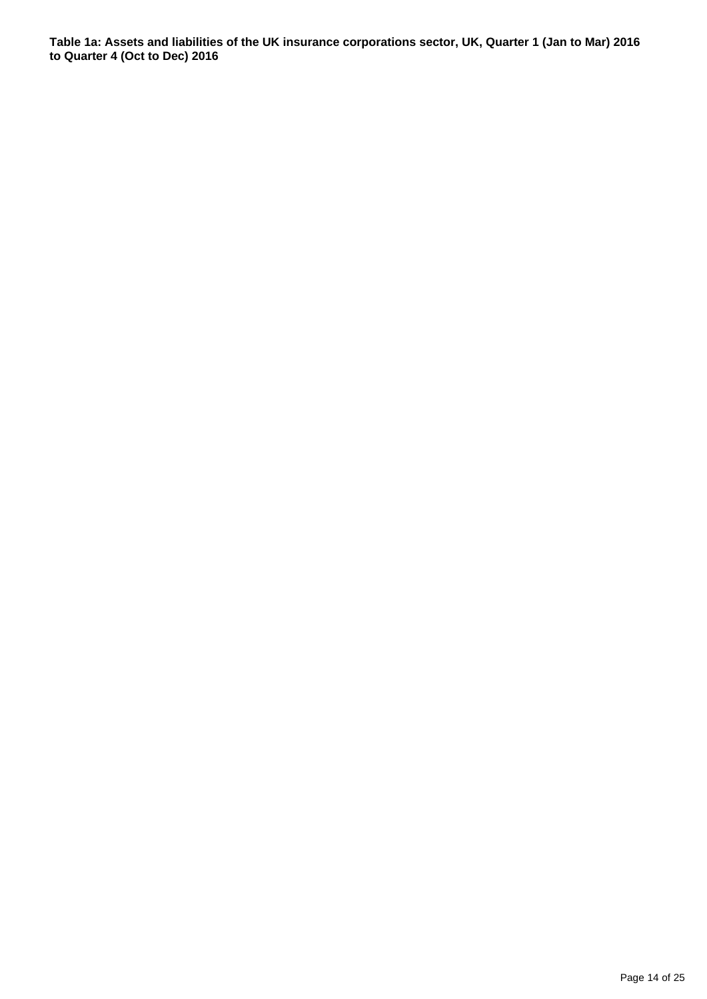**Table 1a: Assets and liabilities of the UK insurance corporations sector, UK, Quarter 1 (Jan to Mar) 2016 to Quarter 4 (Oct to Dec) 2016**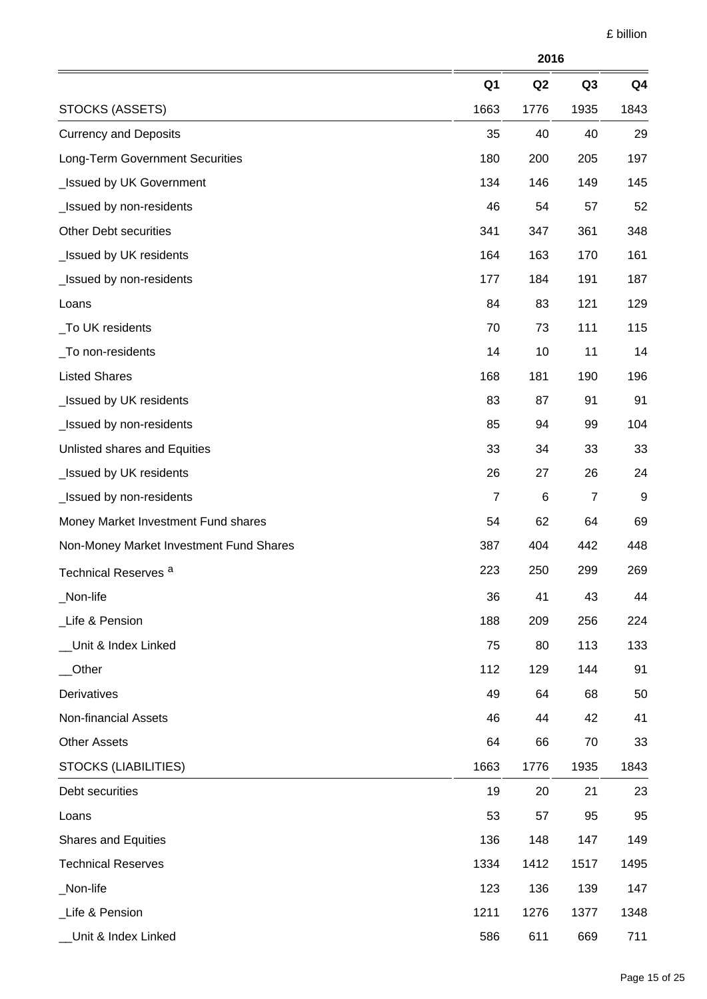£ billion

|                                         |                | 2016 |                |                |
|-----------------------------------------|----------------|------|----------------|----------------|
|                                         | Q <sub>1</sub> | Q2   | Q <sub>3</sub> | Q <sub>4</sub> |
| STOCKS (ASSETS)                         | 1663           | 1776 | 1935           | 1843           |
| <b>Currency and Deposits</b>            | 35             | 40   | 40             | 29             |
| Long-Term Government Securities         | 180            | 200  | 205            | 197            |
| _Issued by UK Government                | 134            | 146  | 149            | 145            |
| _Issued by non-residents                | 46             | 54   | 57             | 52             |
| <b>Other Debt securities</b>            | 341            | 347  | 361            | 348            |
| _Issued by UK residents                 | 164            | 163  | 170            | 161            |
| _Issued by non-residents                | 177            | 184  | 191            | 187            |
| Loans                                   | 84             | 83   | 121            | 129            |
| _To UK residents                        | 70             | 73   | 111            | 115            |
| _To non-residents                       | 14             | 10   | 11             | 14             |
| <b>Listed Shares</b>                    | 168            | 181  | 190            | 196            |
| _Issued by UK residents                 | 83             | 87   | 91             | 91             |
| _Issued by non-residents                | 85             | 94   | 99             | 104            |
| Unlisted shares and Equities            | 33             | 34   | 33             | 33             |
| _Issued by UK residents                 | 26             | 27   | 26             | 24             |
| _Issued by non-residents                | $\overline{7}$ | 6    | $\overline{7}$ | 9              |
| Money Market Investment Fund shares     | 54             | 62   | 64             | 69             |
| Non-Money Market Investment Fund Shares | 387            | 404  | 442            | 448            |
| Technical Reserves <sup>a</sup>         | 223            | 250  | 299            | 269            |
| _Non-life                               | 36             | 41   | 43             | 44             |
| _Life & Pension                         | 188            | 209  | 256            | 224            |
| Unit & Index Linked                     | 75             | 80   | 113            | 133            |
| _Other                                  | 112            | 129  | 144            | 91             |
| Derivatives                             | 49             | 64   | 68             | 50             |
| <b>Non-financial Assets</b>             | 46             | 44   | 42             | 41             |
| <b>Other Assets</b>                     | 64             | 66   | 70             | 33             |
| STOCKS (LIABILITIES)                    | 1663           | 1776 | 1935           | 1843           |
| Debt securities                         | 19             | 20   | 21             | 23             |
| Loans                                   | 53             | 57   | 95             | 95             |
| <b>Shares and Equities</b>              | 136            | 148  | 147            | 149            |
| <b>Technical Reserves</b>               | 1334           | 1412 | 1517           | 1495           |
| _Non-life                               | 123            | 136  | 139            | 147            |
| Life & Pension                          | 1211           | 1276 | 1377           | 1348           |
| Unit & Index Linked                     | 586            | 611  | 669            | 711            |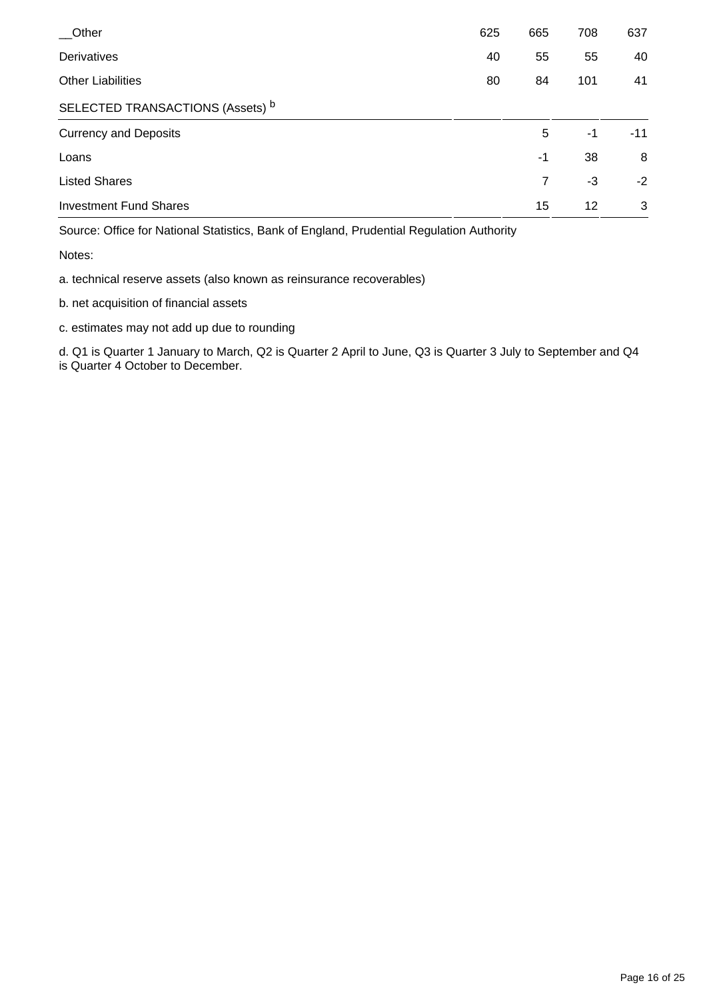| Other                            | 625 | 665  | 708  | 637   |
|----------------------------------|-----|------|------|-------|
| Derivatives                      | 40  | 55   | 55   | 40    |
| <b>Other Liabilities</b>         | 80  | 84   | 101  | 41    |
| SELECTED TRANSACTIONS (Assets) b |     |      |      |       |
| <b>Currency and Deposits</b>     |     | 5    | $-1$ | $-11$ |
| Loans                            |     | $-1$ | 38   | 8     |
| <b>Listed Shares</b>             |     | 7    | $-3$ | $-2$  |
| <b>Investment Fund Shares</b>    |     | 15   | 12   | 3     |

Source: Office for National Statistics, Bank of England, Prudential Regulation Authority

Notes:

a. technical reserve assets (also known as reinsurance recoverables)

- b. net acquisition of financial assets
- c. estimates may not add up due to rounding

d. Q1 is Quarter 1 January to March, Q2 is Quarter 2 April to June, Q3 is Quarter 3 July to September and Q4 is Quarter 4 October to December.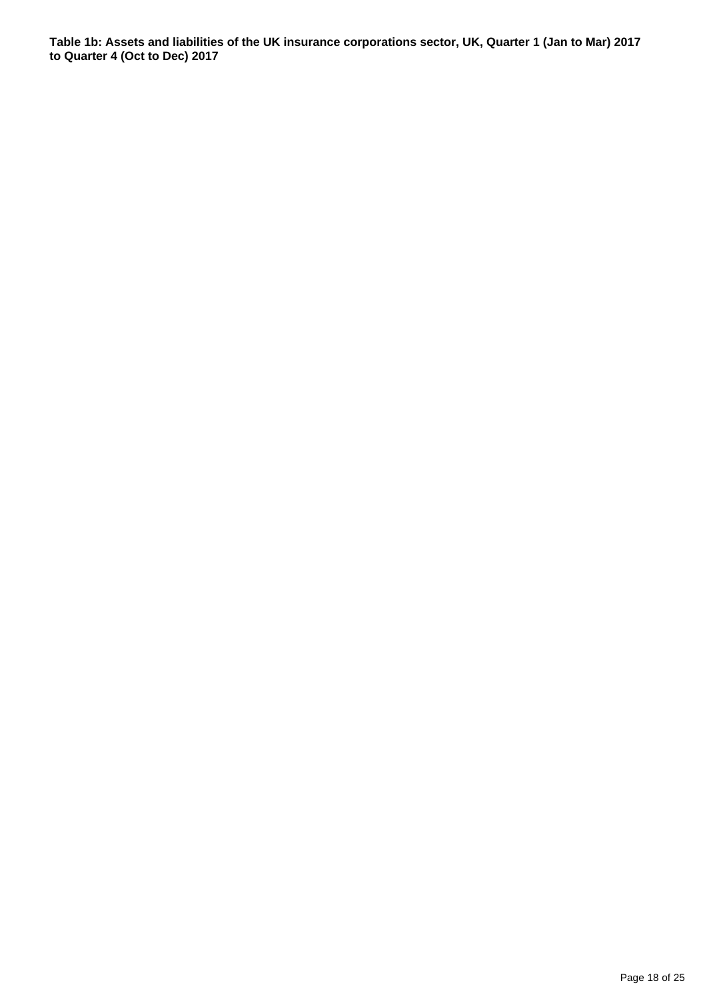**Table 1b: Assets and liabilities of the UK insurance corporations sector, UK, Quarter 1 (Jan to Mar) 2017 to Quarter 4 (Oct to Dec) 2017**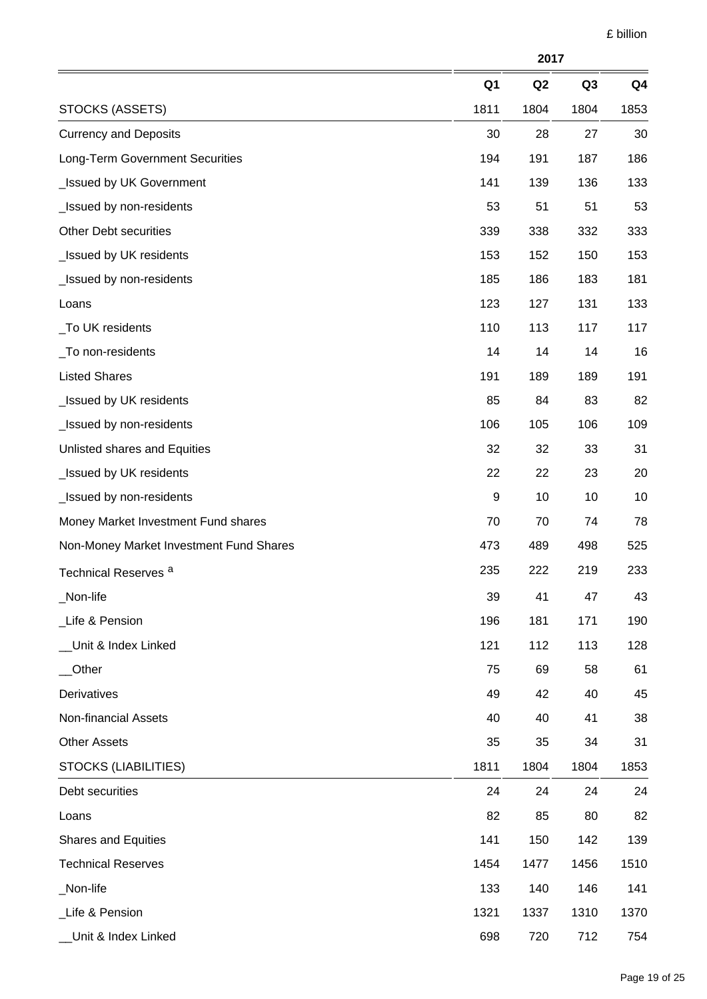£ billion

|                                         |                | 2017 |                |      |
|-----------------------------------------|----------------|------|----------------|------|
|                                         | Q <sub>1</sub> | Q2   | Q <sub>3</sub> | Q4   |
| STOCKS (ASSETS)                         | 1811           | 1804 | 1804           | 1853 |
| <b>Currency and Deposits</b>            | 30             | 28   | 27             | 30   |
| Long-Term Government Securities         | 194            | 191  | 187            | 186  |
| _Issued by UK Government                | 141            | 139  | 136            | 133  |
| _Issued by non-residents                | 53             | 51   | 51             | 53   |
| <b>Other Debt securities</b>            | 339            | 338  | 332            | 333  |
| _Issued by UK residents                 | 153            | 152  | 150            | 153  |
| _Issued by non-residents                | 185            | 186  | 183            | 181  |
| Loans                                   | 123            | 127  | 131            | 133  |
| _To UK residents                        | 110            | 113  | 117            | 117  |
| _To non-residents                       | 14             | 14   | 14             | 16   |
| <b>Listed Shares</b>                    | 191            | 189  | 189            | 191  |
| _Issued by UK residents                 | 85             | 84   | 83             | 82   |
| _Issued by non-residents                | 106            | 105  | 106            | 109  |
| Unlisted shares and Equities            | 32             | 32   | 33             | 31   |
| _Issued by UK residents                 | 22             | 22   | 23             | 20   |
| _Issued by non-residents                | 9              | 10   | 10             | 10   |
| Money Market Investment Fund shares     | 70             | 70   | 74             | 78   |
| Non-Money Market Investment Fund Shares | 473            | 489  | 498            | 525  |
| Technical Reserves <sup>a</sup>         | 235            | 222  | 219            | 233  |
| _Non-life                               | 39             | 41   | 47             | 43   |
| _Life & Pension                         | 196            | 181  | 171            | 190  |
| Unit & Index Linked                     | 121            | 112  | 113            | 128  |
| __Other                                 | 75             | 69   | 58             | 61   |
| Derivatives                             | 49             | 42   | 40             | 45   |
| <b>Non-financial Assets</b>             | 40             | 40   | 41             | 38   |
| <b>Other Assets</b>                     | 35             | 35   | 34             | 31   |
| STOCKS (LIABILITIES)                    | 1811           | 1804 | 1804           | 1853 |
| Debt securities                         | 24             | 24   | 24             | 24   |
| Loans                                   | 82             | 85   | 80             | 82   |
| <b>Shares and Equities</b>              | 141            | 150  | 142            | 139  |
| <b>Technical Reserves</b>               | 1454           | 1477 | 1456           | 1510 |
| _Non-life                               | 133            | 140  | 146            | 141  |
| Life & Pension                          | 1321           | 1337 | 1310           | 1370 |
| Unit & Index Linked                     | 698            | 720  | 712            | 754  |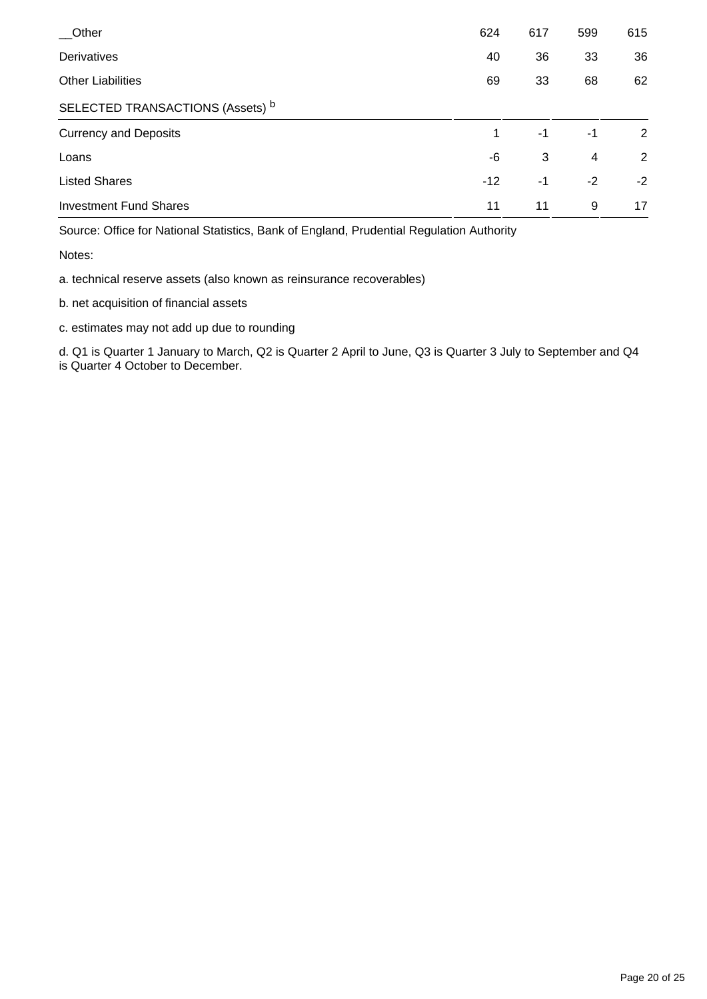| Other                            | 624   | 617  | 599            | 615  |
|----------------------------------|-------|------|----------------|------|
| Derivatives                      | 40    | 36   | 33             | 36   |
| <b>Other Liabilities</b>         | 69    | 33   | 68             | 62   |
| SELECTED TRANSACTIONS (Assets) b |       |      |                |      |
| <b>Currency and Deposits</b>     | 1     | $-1$ | $-1$           | 2    |
| Loans                            | -6    | 3    | $\overline{4}$ | 2    |
| <b>Listed Shares</b>             | $-12$ | -1   | $-2$           | $-2$ |
| <b>Investment Fund Shares</b>    | 11    | 11   | 9              | 17   |

Source: Office for National Statistics, Bank of England, Prudential Regulation Authority

Notes:

a. technical reserve assets (also known as reinsurance recoverables)

- b. net acquisition of financial assets
- c. estimates may not add up due to rounding

d. Q1 is Quarter 1 January to March, Q2 is Quarter 2 April to June, Q3 is Quarter 3 July to September and Q4 is Quarter 4 October to December.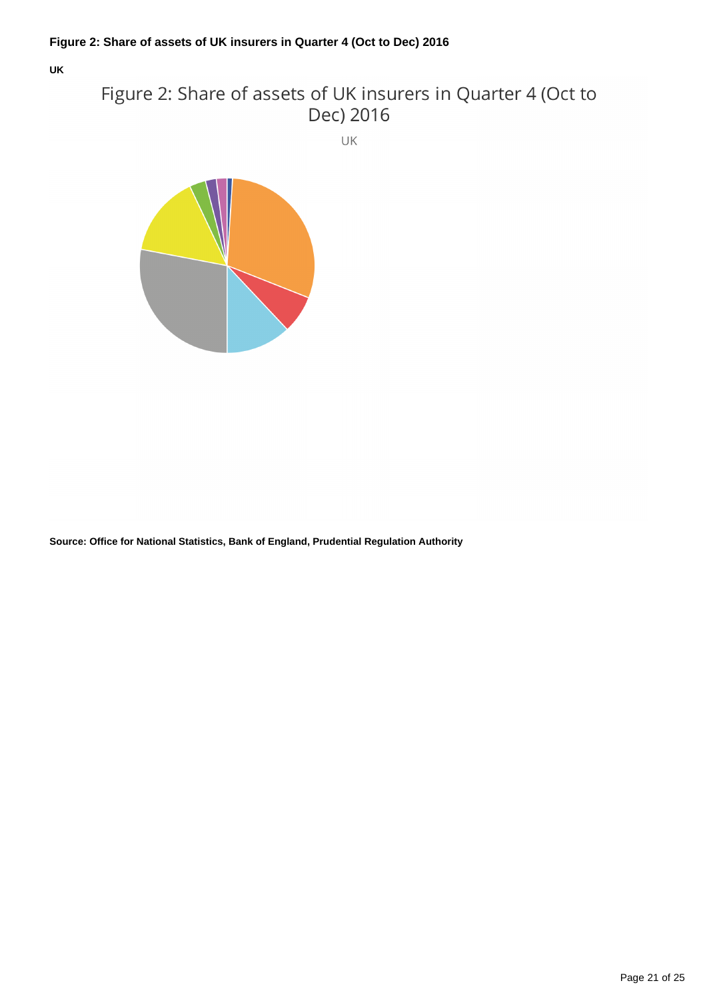**UK**

## Figure 2: Share of assets of UK insurers in Quarter 4 (Oct to Dec) 2016

UK



**Source: Office for National Statistics, Bank of England, Prudential Regulation Authority**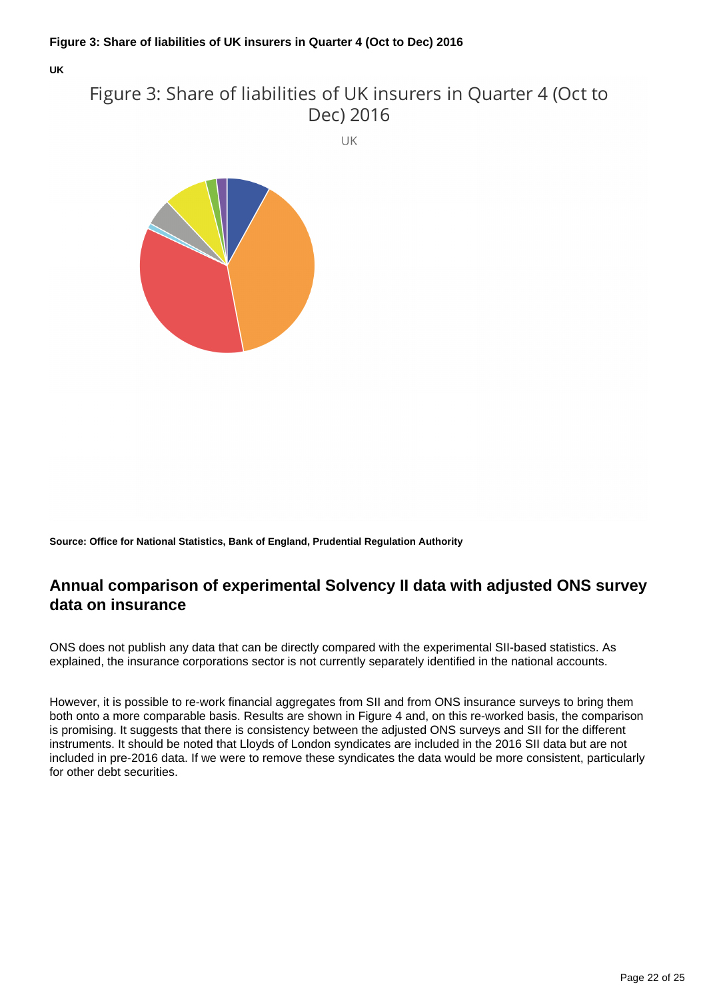**UK**

### Figure 3: Share of liabilities of UK insurers in Quarter 4 (Oct to Dec) 2016

UK



**Source: Office for National Statistics, Bank of England, Prudential Regulation Authority**

### **Annual comparison of experimental Solvency II data with adjusted ONS survey data on insurance**

ONS does not publish any data that can be directly compared with the experimental SII-based statistics. As explained, the insurance corporations sector is not currently separately identified in the national accounts.

However, it is possible to re-work financial aggregates from SII and from ONS insurance surveys to bring them both onto a more comparable basis. Results are shown in Figure 4 and, on this re-worked basis, the comparison is promising. It suggests that there is consistency between the adjusted ONS surveys and SII for the different instruments. It should be noted that Lloyds of London syndicates are included in the 2016 SII data but are not included in pre-2016 data. If we were to remove these syndicates the data would be more consistent, particularly for other debt securities.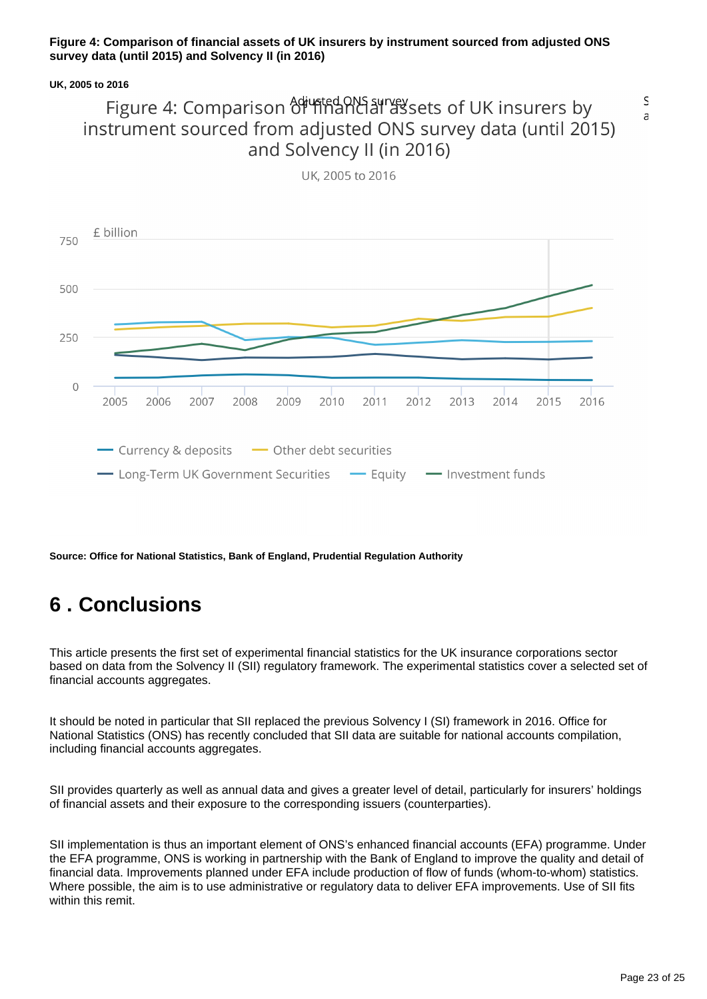#### **Figure 4: Comparison of financial assets of UK insurers by instrument sourced from adjusted ONS survey data (until 2015) and Solvency II (in 2016)**

#### **UK, 2005 to 2016**

## Figure 4: Comparison of the ANS surgests of UK insurers by instrument sourced from adjusted ONS survey data (until 2015) and Solvency II (in 2016)



UK, 2005 to 2016

**Source: Office for National Statistics, Bank of England, Prudential Regulation Authority**

## <span id="page-22-0"></span>**6 . Conclusions**

This article presents the first set of experimental financial statistics for the UK insurance corporations sector based on data from the Solvency II (SII) regulatory framework. The experimental statistics cover a selected set of financial accounts aggregates.

It should be noted in particular that SII replaced the previous Solvency I (SI) framework in 2016. Office for National Statistics (ONS) has recently concluded that SII data are suitable for national accounts compilation, including financial accounts aggregates.

SII provides quarterly as well as annual data and gives a greater level of detail, particularly for insurers' holdings of financial assets and their exposure to the corresponding issuers (counterparties).

SII implementation is thus an important element of ONS's enhanced financial accounts (EFA) programme. Under the EFA programme, ONS is working in partnership with the Bank of England to improve the quality and detail of financial data. Improvements planned under EFA include production of flow of funds (whom-to-whom) statistics. Where possible, the aim is to use administrative or regulatory data to deliver EFA improvements. Use of SII fits within this remit.

S

a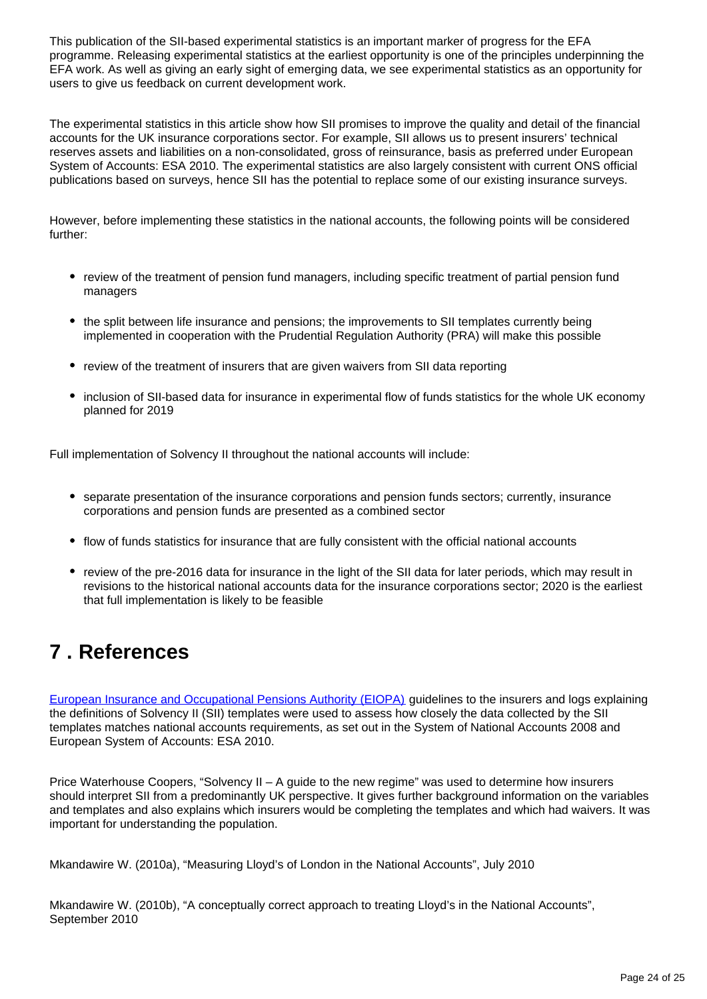This publication of the SII-based experimental statistics is an important marker of progress for the EFA programme. Releasing experimental statistics at the earliest opportunity is one of the principles underpinning the EFA work. As well as giving an early sight of emerging data, we see experimental statistics as an opportunity for users to give us feedback on current development work.

The experimental statistics in this article show how SII promises to improve the quality and detail of the financial accounts for the UK insurance corporations sector. For example, SII allows us to present insurers' technical reserves assets and liabilities on a non-consolidated, gross of reinsurance, basis as preferred under European System of Accounts: ESA 2010. The experimental statistics are also largely consistent with current ONS official publications based on surveys, hence SII has the potential to replace some of our existing insurance surveys.

However, before implementing these statistics in the national accounts, the following points will be considered further:

- review of the treatment of pension fund managers, including specific treatment of partial pension fund managers
- the split between life insurance and pensions; the improvements to SII templates currently being implemented in cooperation with the Prudential Regulation Authority (PRA) will make this possible
- review of the treatment of insurers that are given waivers from SII data reporting
- inclusion of SII-based data for insurance in experimental flow of funds statistics for the whole UK economy planned for 2019

Full implementation of Solvency II throughout the national accounts will include:

- separate presentation of the insurance corporations and pension funds sectors; currently, insurance corporations and pension funds are presented as a combined sector
- flow of funds statistics for insurance that are fully consistent with the official national accounts
- review of the pre-2016 data for insurance in the light of the SII data for later periods, which may result in revisions to the historical national accounts data for the insurance corporations sector; 2020 is the earliest that full implementation is likely to be feasible

## <span id="page-23-0"></span>**7 . References**

[European Insurance and Occupational Pensions Authority \(EIOPA\)](https://eiopa.europa.eu/regulation-supervision/insurance/reporting-format/supervisory-reporting-and-public-disclosure-requirements) guidelines to the insurers and logs explaining the definitions of Solvency II (SII) templates were used to assess how closely the data collected by the SII templates matches national accounts requirements, as set out in the System of National Accounts 2008 and European System of Accounts: ESA 2010.

Price Waterhouse Coopers, "Solvency II – A guide to the new regime" was used to determine how insurers should interpret SII from a predominantly UK perspective. It gives further background information on the variables and templates and also explains which insurers would be completing the templates and which had waivers. It was important for understanding the population.

Mkandawire W. (2010a), "Measuring Lloyd's of London in the National Accounts", July 2010

Mkandawire W. (2010b), "A conceptually correct approach to treating Lloyd's in the National Accounts", September 2010